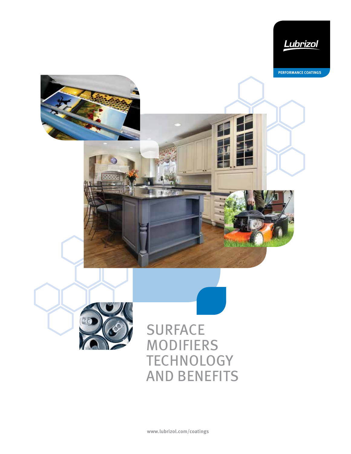





SURFACE MODIFIERS **TECHNOLOGY** AND BENEFITS

**www.lubrizol.com/coatings**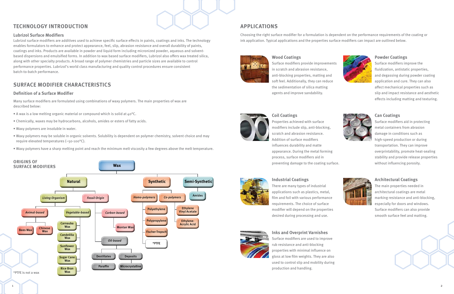#### **Lubrizol Surface Modifiers**



Lubrizol surface modifiers are additives used to achieve specific surface effects in paints, coatings and inks. The technology enables formulators to enhance and protect appearance, feel, slip, abrasion resistance and overall durability of paints, coatings and inks. Products are available in powder and liquid form including micronized powder, aqueous and solventbased dispersions and emulsified forms. In addition to wax based surface modifiers, Lubrizol also offers wax treated silica, along with other specialty products. A broad range of polymer chemistries and particle sizes are available to control performance properties. Lubrizol's world class manufacturing and quality control procedures ensure consistent batch-to-batch performance.

- A wax is a low melting organic material or compound which is solid at  $40^{\circ}$ C.
- Chemically, waxes may be hydrocarbons, alcohols, amides or esters of fatty acids.
- Waxy polymers are insoluble in water.
- Waxy polymers may be soluble in organic solvents. Solubility is dependent on polymer chemistry, solvent choice and may require elevated temperatures (~50-100°C).
- Waxy polymers have a sharp melting point and reach the minimum melt viscosity a few degrees above the melt temperature.

### **TECHNOLOGY INTRODUCTION**

#### **Definition of a Surface Modifier**

Many surface modifiers are formulated using combinations of waxy polymers. The main properties of wax are described below:

### **SURFACE MODIFIER CHARACTERISTICS**

Choosing the right surface modifier for a formulation is dependent on the performance requirements of the coating or ink application. Typical applications and the properties surface modifiers can impact are outlined below.



### **APPLICATIONS**

#### **Wood Coatings**

Surface modifiers provide improvements in scratch and abrasion resistance, anti-blocking properties, matting and soft feel. Additionally, they can reduce the sedimentation of silica matting agents and improve sandability.

# **Coil Coatings**

Properties achieved with surface modifiers include slip, anti-blocking, scratch and abrasion resistance. Addition of surface modifiers influences durability and matte appearance. During the metal forming process, surface modifiers aid in preventing damage to the coating surface.



#### **Powder Coatings**

Surface modifiers improve the fluidization, antistatic properties, and degassing during powder coating application and cure. They can also affect mechanical properties such as slip and impact resistance and aesthetic effects including matting and texturing.



### **Can Coatings**

Surface modifiers aid in protecting metal containers from abrasion damage in conditions such as high-speed production or during transportation. They can improve overprintability, promote heat-sealing stability and provide release properties without influencing porosity.



#### **Industrial Coatings**

There are many types of industrial applications such as plastics, metal, film and foil with various performance requirements. The choice of surface modifier will depend on the properties desired during processing and use.



#### **Architectural Coatings**

The main properties needed in architectural coatings are metal marking resistance and anti-blocking, especially for doors and windows. Surface modifiers can also provide smooth surface feel and matting.

## **Inks and Overprint Varnishes**

Surface modifiers are used to improve rub resistance and anti-blocking properties with minimal influence on gloss at low film weights. They are also used to control slip and mobility during production and handling.

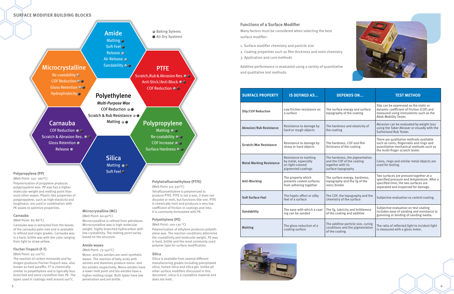

#### **Functions of a Surface Modifier**

Many factors must be considered when selecting the best surface modifier:

- 1. Surface modifier chemistry and particle size
- 2. Coating properties such as film thickness and resin chemistry 3. Application and cure methods

Additive performance is evaluated using a variety of quantitative and qualitative test methods.

| <b>SURFACE PROPERTY</b>         | <b>IS DEFINED AS</b>                                                                    | <b>DEPENDS ON</b>                                                                                       | <b>TEST METHOD</b>                                                                                                                                                   |
|---------------------------------|-----------------------------------------------------------------------------------------|---------------------------------------------------------------------------------------------------------|----------------------------------------------------------------------------------------------------------------------------------------------------------------------|
| <b>Slip/COF Reduction</b>       | Low friction resistance on<br>a surface                                                 | The surface energy and surface<br>topography of the coating                                             | Slip can be expressed as the static or<br>dynamic coefficient of friction (COF) and<br>measured using instruments such as the<br>Altek Mobility Tester.              |
| <b>Abrasion/Rub Resistance</b>  | Resistance to damage by<br>hard or rough objects                                        | The hardness and elasticity of<br>the coating                                                           | Abrasion can be evaluated by weight loss<br>using the Taber Abraser or visually with the<br>Sutherland Rub Tester.                                                   |
| <b>Scratch/Mar Resistance</b>   | Resistance to damage by<br>sharp or hard objects                                        | The hardness, COF and film<br>thickness of the coating                                                  | There are qualitative methods available<br>such as coins, fingernails and rings and<br>quantitative mechanical methods such as<br>the multi-finger scratch tester.   |
| <b>Metal Marking Resistance</b> | Resistance to marking<br>by metal, especially<br>on light-colored<br>pigmented coatings | The hardness, the pigmentation<br>and the COF of the coating<br>together with its<br>surface topography | Coins, rings and similar metal objects are<br>used for testing.                                                                                                      |
| <b>Anti-Blocking</b>            | The property which<br>prevents coated surfaces<br>from adhering together                | The surface energy, hardness,<br>topography and the Tg of the<br>resin/binder                           | Two surfaces are pressed together at a<br>specified pressure and temperature. After a<br>specified time, the two surfaces are<br>separated and inspected for damage. |
| <b>Soft Surface Feel</b>        | The haptic effect or silky<br>feel of a surface                                         | The COF, the topography and the<br>chemistry of the surface                                             | Subjective evaluation vs control coating.                                                                                                                            |
| Sandability                     | The ease with which a coat-<br>ing can be sanded                                        | The Tg, lubricity and brittleness<br>of the coating and additive                                        | Subjective evaluation on test coating<br>includes ease of sanding and resistance to<br>gumming or binding of sanding media.                                          |
| <b>Matting</b>                  | The gloss reduction of a<br>coating surface                                             | The additive particle size, curing<br>conditions and the pigmentation<br>of the coating                 | The ratio of reflected light to incident light<br>is measured with a gloss meter.                                                                                    |



#### **SURFACE MODIFIER BUILDING BLOCKS**

#### **Carnauba**

(Melt Point: 82-86°C)

Carnauba wax is extracted from the leaves of the carnauba palm tree and is available in refined and virgin grades. Carnauba wax is a hard, brittle wax with the color ranging from light to straw yellow.

#### **Fischer-Tropsch (F-T)**

#### (Melt Point: 93-110°C)

The reaction of carbon monoxide and hydrogen produces Fischer-Tropsch wax, also known as hard paraffin. FT is chemically similar to polyethylene and is typically less branched and more crystalline than PE. The types used in coatings melt around 100°C.

### **Microcrystalline (MC)**

(Melt Point: 60-90°C) Microcrystalline is refined from petroleum. Microcrystalline wax is high molecular weight, highly branched hydrocarbon with low crystallinity. The melting point varies based on the structure.



**Polyethylene (PE)** (Melt Point: 100-130 °C)

Polymerization of ethylene produces polyethylene wax. The reaction conditions determine the crystallinity and molecular weight. PE wax is hard, brittle and the most commonly used polymer type for surface modification.

**Silica**

Silica is available from several different manufacturing grades including precipitated silica, fumed silica and silica gel. Unlike all other surface modifiers discussed in this document, silica is a crystalline material and

does not melt.

#### **Amide waxes**

#### (Melt Point: 73-140°C)

Mono- and bis-amides are semi-synthetic waxes. The reaction of fatty acids with amines and diamines produce mono- and bis-amides respectively. Mono-amides have a lower melt point and bis-amides have a higher melting range. Both types have low penetration and are brittle.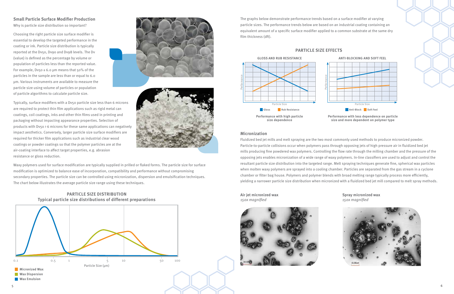**Air jet micronized wax** 150x magnified



**Spray micronized wax** 150x magnified

**Micronization**

Fluidized bed jet mills and melt spraying are the two most commonly used methods to produce micronized powder. Particle-to-particle collisions occur when polymers pass through opposing jets of high pressure air in fluidized bed jet mills producing fine powdered wax polymers. Controlling the flow rate through the milling chamber and the pressure of the opposing jets enables micronization of a wide range of waxy polymers. In-line classifiers are used to adjust and control the resultant particle size distribution into the targeted range. Melt spraying techniques generate fine, spherical wax particles when molten waxy polymers are sprayed into a cooling chamber. Particles are separated from the gas stream in a cyclone chamber or filter bag house. Polymers and polymer blends with broad melting range typically process more efficiently, yielding a narrower particle size distribution when micronized with a fluidized bed jet mill compared to melt spray methods.

The graphs below demonstrate performance trends based on a surface modifier at varying particle sizes. The performance trends below are based on an industrial coating containing an equivalent amount of a specific surface modifier applied to a common substrate at the same dry film thickness (dft).

#### **PARTICLE SIZE EFFECTS**

### **Small Particle Surface Modifier Production** Why is particle size distribution so important?

Choosing the right particle size surface modifier is essential to develop the targeted performance in the coating or ink. Particle size distribution is typically reported at the Dv50, Dv90 and Dv98 levels. The Dv {value} is defined as the percentage by volume or population of particles less than the reported value. For example, Dv50  $\leq$  6.0 µm means that 50% of the particles in the sample are less than or equal to 6.0 µm. Various instruments are available to measure the particle size using volume of particles or population of particle algorithms to calculate particle size.





Typically, surface modifiers with a Dv50 particle size less than 6 microns are required to protect thin film applications such as rigid metal can coatings, coil coatings, inks and other thin films used in printing and packaging without impacting appearance properties. Selection of products with Dv50 > 6 microns for these same applications can negatively impact aesthetics. Conversely, larger particle size surface modifiers are required for thicker film applications such as industrial clear wood coatings or powder coatings so that the polymer particles are at the air-coating interface to affect target properties, e.g. abrasion resistance or gloss reduction.

Waxy polymers used for surface modification are typically supplied in prilled or flaked forms. The particle size for surface modification is optimized to balance ease of incorporation, compatibility and performance without compromising secondary properties. The particle size can be controlled using micronization, dispersion and emulsification techniques. The chart below illustrates the average particle size range using these techniques.



#### **PARTICLE SIZE DISTRIBUTION Typical particle size distributions of different preparations**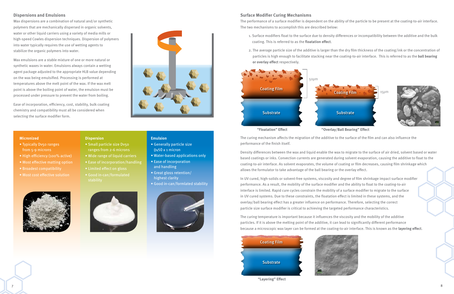#### **Dispersions and Emulsions**

Wax dispersions are a combination of natural and/or synthetic polymers that are mechanically dispersed in organic solvents, water or other liquid carriers using a variety of media mills or high-speed Cowles dispersion techniques. Dispersion of polymers into water typically requires the use of wetting agents to stabilize the organic polymers into water.

Wax emulsions are a stable mixture of one or more natural or synthetic waxes in water. Emulsions always contain a wetting agent package adjusted to the appropriate HLB value depending on the wax being emulsified. Processing is performed at temperatures above the melt point of the wax. If the wax melt point is above the boiling point of water, the emulsion must be processed under pressure to prevent the water from boiling.

Ease of incorporation, efficiency, cost, stability, bulk coating chemistry and compatibility must all be considered when selecting the surface modifier form.



#### **Surface Modifier Curing Mechanisms**

The performance of a surface modifier is dependent on the ability of the particle to be present at the coating-to-air interface. The two mechanisms to accomplish this are described below:

1. Surface modifiers float to the surface due to density differences or incompatibility between the additive and the bulk

- coating. This is referred to as the **floatation effect**.
- **or overlay effect** respectively.

 2. The average particle size of the additive is larger than the dry film thickness of the coating/ink or the concentration of particles is high enough to facilitate stacking near the coating-to-air interface. This is referred to as the **ball bearing** 





The curing mechanism affects the migration of the additive to the surface of the film and can also influence the performance of the finish itself.

- Small particle size Dv50 ranges from 2-6 microns
- Wide range of liquid carriers
- 
- Limited effect on gloss
- Good in-can/formulated



• Generally particle size  $Dv50 \leq 1$  micron

Density differences between the wax and liquid enable the wax to migrate to the surface of air dried, solvent based or water based coatings or inks. Convection currents are generated during solvent evaporation, causing the additive to float to the coating-to-air interface. As solvent evaporates, the volume of coating or film decreases, causing film shrinkage which allows the formulator to take advantage of the ball bearing or the overlay effect.

In UV cured, high-solids or solvent-free systems, viscosity and degree of film shrinkage impact surface modifier performance. As a result, the mobility of the surface modifier and the ability to float to the coating-to-air interface is limited. Rapid cure cycles constrain the mobility of a surface modifier to migrate to the surface in UV cured systems. Due to these constraints, the floatation effect is limited in these systems, and the overlay/ball bearing effect has a greater influence on performance. Therefore, selecting the correct particle size surface modifier is critical to achieving the targeted performance characteristics.

The curing temperature is important because it influences the viscosity and the mobility of the additive particles. If it is above the melting point of the additive, it can lead to significantly different performance because a microscopic wax layer can be formed at the coating-to-air interface. This is known as the **layering effect**.

#### **Micronized**

- Typically Dv50 ranges from 5-9 microns
- High efficiency (100% active)
- Most effective matting option
- 
- Most cost effective solution





**Emulsion**

• Water-based applications only

• Ease of incorporation

and handling

• Great gloss retention/

highest clarity

• Good in-can/formlated stability



**"Layering" Effect**

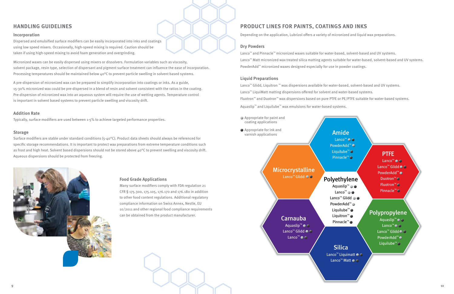#### **Incorporation**

Micronized waxes can be easily dispersed using mixers or dissolvers. Formulation variables such as viscosity, solvent package, resin type, selection of dispersant and pigment surface treatment can influence the ease of incorporation. Processing temperatures should be maintained below  $40^{\circ}$ C to prevent particle swelling in solvent based systems.

Dispersed and emulsified surface modifiers can be easily incorporated into inks and coatings using low speed mixers. Occasionally, high-speed mixing is required. Caution should be taken if using high-speed mixing to avoid foam generation and overgrinding.

Surface modifiers are stable under standard conditions  $(5-40^{\circ}C)$ . Product data sheets should always be referenced for specific storage recommendations. It is important to protect wax preparations from extreme temperature conditions such as frost and high heat. Solvent based dispersions should not be stored above 40°C to prevent swelling and viscosity drift. Aqueous dispersions should be protected from freezing.



A pre-dispersion of micronized wax can be prepared to simplify incorporation into coatings or inks. As a guide, 15-30% micronized wax could be pre-dispersed in a blend of resin and solvent consistent with the ratios in the coating. Pre-dispersion of micronized wax into an aqueous system will require the use of wetting agents. Temperature control is important in solvent based systems to prevent particle swelling and viscosity drift.

#### **Addition Rate**

Typically, surface modifiers are used between 1-5% to achieve targeted performance properties.

#### **Storage**

Aquaslip™ ● Lanco™ Lanco™ Glidd PowderAdd™ Liquilube™ Liquitron<sup>™</sup> ● Pinnacle™

## **Silica**

Lanco<sup>™</sup> Liquimatt ● ○ Lanco<sup>™</sup> Matt ● ●

Lanco<sup>™</sup> ● ● Lanco<sup>™</sup> Glidd● ● PowderAdd™ Duotron<sup>™</sup> Fluotron™ Pinnacle™

PowderAdd™ Liquilube<sup>™</sup> Pinnacle<sup>™</sup>

> Aquaslip<sup>™</sup>○○ Lanco<sup>™</sup> O **O** Lanco<sup>™</sup> Glidd O PowderAdd™ Liquilube™

### **HANDLING GUIDELINES**

#### **Food Grade Applications**

Many surface modifiers comply with FDA regulation 21 CFR § 175.300, 175.105, 176.170 and 176.180 in addition to other food content regulations. Additional regulatory compliance information on Swiss Annex, Nestle, EU 10/2011 and other regional food compliance requirements can be obtained from the product manufacturer.

Depending on the application, Lubrizol offers a variety of micronized and liquid wax preparations.

#### **Dry Powders**

Lanco™ and Pinnacle™ micronized waxes suitable for water-based, solvent-based and UV systems. Lanco™ Matt micronized wax treated silica matting agents suitable for water-based, solvent-based and UV systems. PowderAdd™ micronized waxes designed especially for use in powder coatings.

#### **Liquid Preparations**

Lanco™ Glidd, Liquitron ™ wax dispersions available for water-based, solvent-based and UV systems. Lanco™ LiquiMatt matting dispersions offered for solvent and water-based systems. Fluotron™ and Duotron™ wax dispersions based on pure PTFE or PE/PTFE suitable for water-based systems. Aquaslip™ and Liquilube™ wax emulsions for water-based systems.

## **PRODUCT LINES FOR PAINTS, COATINGS AND INKS**

### Polyethylene

### PTFE



- 
- 
- 
- 
- 

## Amide Lanco™

### Polypropylene